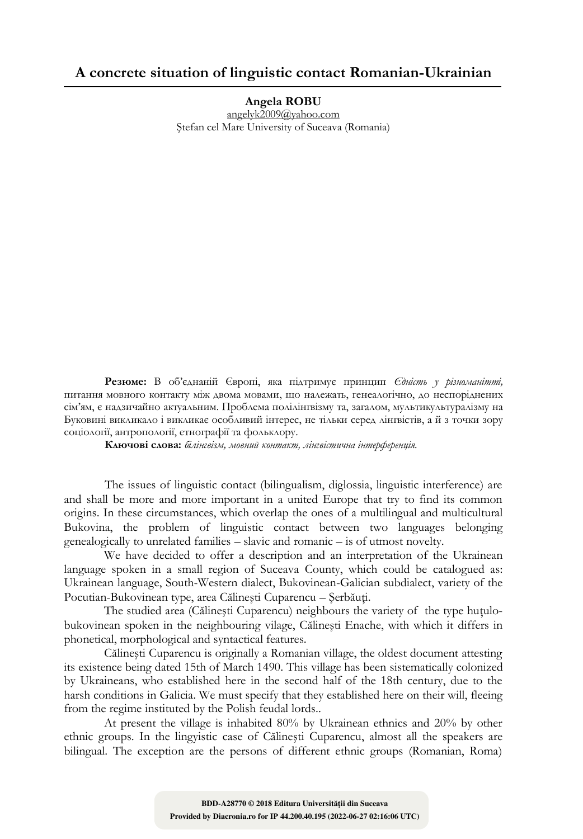## **A concrete situation of linguistic contact Romanian-Ukrainian**

**Angela ROBU** angelyk2009@yahoo.com Ştefan cel Mare University of Suceava (Romania)

**Резюме:** В об'єднаній Європі, яка підтримує принцип *Єдність у різноманітті,*  питання мовного контакту між двома мовами, що належать, генеалогічно, до неспоріднених сім'ям, є надзичайно актуальним. Проблема полілінгвізму та, загалом, мультикультуралізму на Буковині викликало і викликає особливий інтерес, не тільки серед лінгвістів, а й з точки зору соціології, антропології, етнографії та фольклору.

**Ключові слова:** *білінгвізм, мовний контакт, лінгвістична інтерференція*.

The issues of linguistic contact (bilingualism, diglossia, linguistic interference) are and shall be more and more important in a united Europe that try to find its common origins. In these circumstances, which overlap the ones of a multilingual and multicultural Bukovina, the problem of linguistic contact between two languages belonging genealogically to unrelated families – slavic and romanic – is of utmost novelty.

We have decided to offer a description and an interpretation of the Ukrainean language spoken in a small region of Suceava County, which could be catalogued as: Ukrainean language, South-Western dialect, Bukovinean-Galician subdialect, variety of the Pocutian-Bukovinean type, area Călinești Cuparencu – Serbăuți.

The studied area (Călineşti Cuparencu) neighbours the variety of the type huţulobukovinean spoken in the neighbouring vilage, Călineşti Enache, with which it differs in phonetical, morphological and syntactical features.

Călineşti Cuparencu is originally a Romanian village, the oldest document attesting its existence being dated 15th of March 1490. This village has been sistematically colonized by Ukraineans, who established here in the second half of the 18th century, due to the harsh conditions in Galicia. We must specify that they established here on their will, fleeing from the regime instituted by the Polish feudal lords..

At present the village is inhabited 80% by Ukrainean ethnics and 20% by other ethnic groups. In the lingyistic case of Călineşti Cuparencu, almost all the speakers are bilingual. The exception are the persons of different ethnic groups (Romanian, Roma)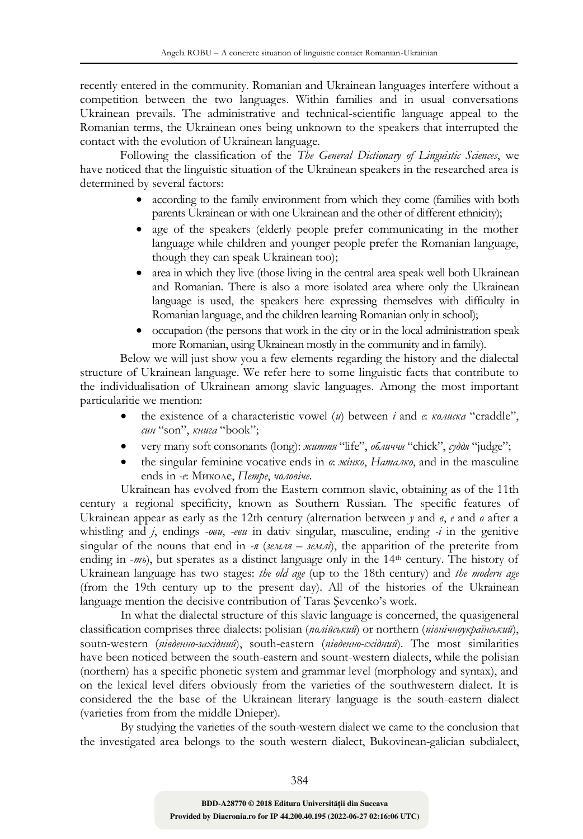recently entered in the community. Romanian and Ukrainean languages interfere without a competition between the two languages. Within families and in usual conversations Ukrainean prevails. The administrative and technical-scientific language appeal to the Romanian terms, the Ukrainean ones being unknown to the speakers that interrupted the contact with the evolution of Ukrainean language.

Following the classification of the *The General Dictionary of Linguistic Sciences*, we have noticed that the linguistic situation of the Ukrainean speakers in the researched area is determined by several factors:

- according to the family environment from which they come (families with both parents Ukrainean or with one Ukrainean and the other of different ethnicity);
- age of the speakers (elderly people prefer communicating in the mother language while children and younger people prefer the Romanian language, though they can speak Ukrainean too);
- area in which they live (those living in the central area speak well both Ukrainean and Romanian. There is also a more isolated area where only the Ukrainean language is used, the speakers here expressing themselves with difficulty in Romanian language, and the children learning Romanian only in school);
- occupation (the persons that work in the city or in the local administration speak more Romanian, using Ukrainean mostly in the community and in family).

Below we will just show you a few elements regarding the history and the dialectal structure of Ukrainean language. We refer here to some linguistic facts that contribute to the individualisation of Ukrainean among slavic languages. Among the most important particularitie we mention:

- the existence of a characteristic vowel (*и*) between *i* and *e*: *колиска* "craddle", *син* "son", *книга* "book";
- very many soft consonants (long): *життя* "life", *обличчя* "chick", *суддя* "judge";
- the singular feminine vocative ends in *o*: *жінко*, *Наталко*, and in the masculine ends in *-e*: Миколе, *Петре*, *чоловіче*.

Ukrainean has evolved from the Eastern common slavic, obtaining as of the 11th century a regional specificity, known as Southern Russian. The specific features of Ukrainean appear as early as the 12th century (alternation between *у* and *в*, *е* and *o* after a whistling and *j*, endings *-ови*, *-еви* in dativ singular, masculine, ending *-i* in the genitive singular of the nouns that end in *-я* (*земля – землі*), the apparition of the preterite from ending in -*m*<sup>b</sup>), but sperates as a distinct language only in the 14<sup>th</sup> century. The history of Ukrainean language has two stages: *the old age* (up to the 18th century) and *the modern age* (from the 19th century up to the present day). All of the histories of the Ukrainean language mention the decisive contribution of Taras Şevcenko's work.

In what the dialectal structure of this slavic language is concerned, the quasigeneral classification comprises three dialects: polisian (*полійський*) or northern (*північноукраїнський*), soutn-western (*південно-західний*), south-eastern (*південно-східний*). The most similarities have been noticed between the south-eastern and sount-western dialects, while the polisian (northern) has a specific phonetic system and grammar level (morphology and syntax), and on the lexical level difers obviously from the varieties of the southwestern dialect. It is considered the the base of the Ukrainean literary language is the south-eastern dialect (varieties from from the middle Dnieper).

By studying the varieties of the south-western dialect we came to the conclusion that the investigated area belongs to the south western dialect, Bukovinean-galician subdialect,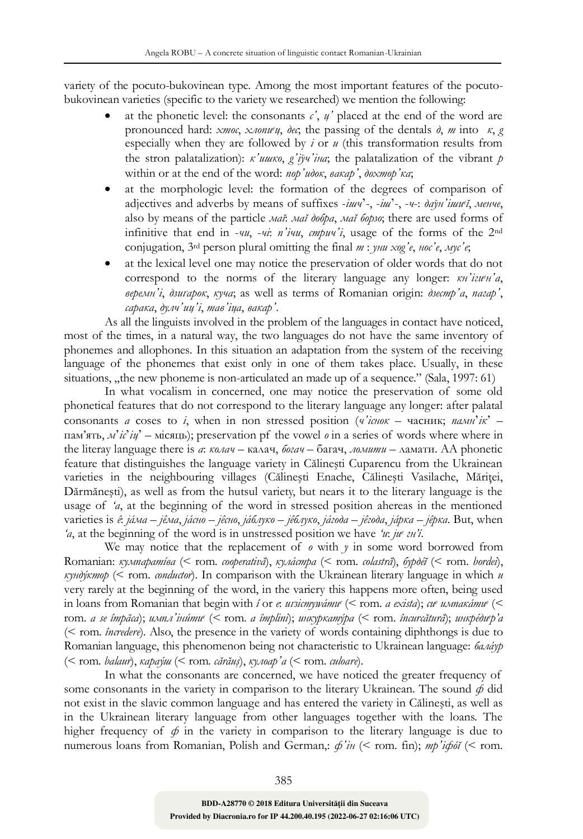variety of the pocuto-bukovinean type. Among the most important features of the pocutobukovinean varieties (specific to the variety we researched) we mention the following:

- at the phonetic level: the consonants  $c'$ ,  $\psi'$  placed at the end of the word are pronounced hard: *хтос*, *хлопи*<sup>*ец*</sup>, *дес*; the passing of the dentals *д*, *m* into  $\kappa$ , *g* especially when they are followed by *i* or *u* (this transformation results from the stron palatalization): *к'ишко*, *g'іўч'іна*; the palatalization of the vibrant *p* within or at the end of the word: *пор'идок*, *вакар'*, *дохтор'ка*;
- at the morphologic level: the formation of the degrees of comparison of adjectives and adverbs by means of suffixes -*iшч*'-, -*іш*'-, -*ч*-: *даўн'іши<sup>е</sup> ĭ*, *менче*, also by means of the particle *маĭ*: *маĭ добра*, *маĭ борзо*; there are used forms of infinitive that end in -*чи*, -*чі*: *п'ічи*, *стрич'і*, usage of the forms of the 2nd conjugation, 3rd person plural omitting the final *т* : *уни хоg'е*, *нос'е*, *мус'е*;
- at the lexical level one may notice the preservation of older words that do not correspond to the norms of the literary language any longer: *кн'ігиен'а*, *веремн'і*, *дзиґарок*, *куча*; as well as terms of Romanian origin: *дзестр'а*, *пагар'*, *сарака*, *дулч'иц'і*, *тав'іца*, *вакар'*.

As all the linguists involved in the problem of the languages in contact have noticed, most of the times, in a natural way, the two languages do not have the same inventory of phonemes and allophones. In this situation an adaptation from the system of the receiving language of the phonemes that exist only in one of them takes place. Usually, in these situations,  $n$ , the new phoneme is non-articulated an made up of a sequence." (Sala, 1997: 61)

In what vocalism in concerned, one may notice the preservation of some old phonetical features that do not correspond to the literary language any longer: after palatal consonants *a* coses to *i*, when in non stressed position (*ч'існок* – часник; *памн*'*ік*' – пам'ять, *м*'*іс*'*іц*' – місяць); preservation pf the vowel *o* in a series of words where where in the literay language there is *a*: *колач* – калач, *богач* – багач, *ломити* – ламати. AA phonetic feature that distinguishes the language variety in Călineşti Cuparencu from the Ukrainean varieties in the neighbouring villages (Călinești Enache, Călinești Vasilache, Măritei, Dărmăneşti), as well as from the hutsul variety, but nears it to the literary language is the usage of *'a*, at the beginning of the word in stressed position ahereas in the mentioned varieties is *ê*: *jáма – jêма*, *jáсно – jêсно*, *jáблуко – jêблуко*, *jáгода – jêгода*, *jáрка – jêрка*. But, when *'a*, at the beginning of the word is in unstressed position we have *'и*: *jи е гн'í*.

We may notice that the replacement of  $\theta$  with  $\gamma$  in some word borrowed from Romanian: *кумпаратíва* (< rom. *cooperativă*), *кулáстра* (< rom. *colastră*), *бурдéĭ* (< rom. *bordei*),  $k$ *yndýkmop* ( $\leq$  rom. *conductor*). In comparison with the Ukrainean literary language in which *u* very rarely at the beginning of the word, in the variery this happens more often, being used in loans from Romanian that begin with *î* or *e*: *иґзiстуwáти<sup>е</sup>* (< rom. *a exista*); *си<sup>е</sup> импакáти<sup>е</sup>* (*<* rom. *a se împăca*); *импл'інúти<sup>е</sup>* (*<* rom. *a împlini*); *инкуркатýра* (< rom. *încurcătură*); *инкрéдиер'а* (< rom. *încredere*). Also, the presence in the variety of words containing diphthongs is due to Romanian language, this phenomenon being not characteristic to Ukrainean language: *балáур* (< rom. *balaur*), *караýш* (< rom. *cărăuş*), *кулоар'а* (< rom. *culoare*).

In what the consonants are concerned, we have noticed the greater frequency of some consonants in the variety in comparison to the literary Ukrainean. The sound  $\phi$  did not exist in the slavic common language and has entered the variety in Călineşti, as well as in the Ukrainean literary language from other languages together with the loans. The higher frequency of  $\phi$  in the variety in comparison to the literary language is due to numerous loans from Romanian, Polish and German,: *ф'ін* (< rom. fin); *тр'iфóĭ* (< rom.